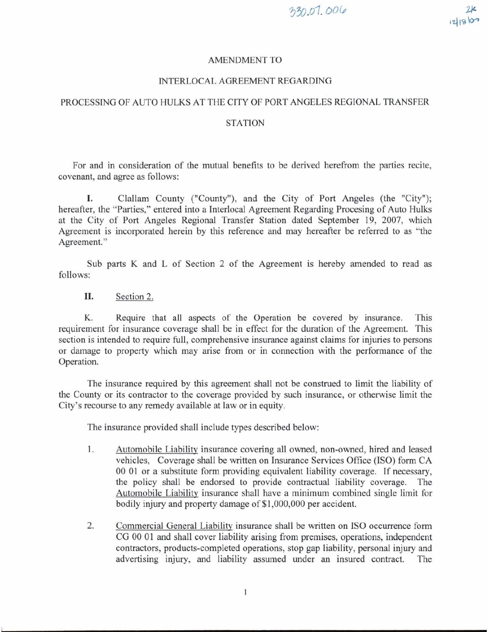## AMENDMENT TO

## INTERLOCAL AGREEMENT REGARDING

## PROCESSING OF AUTO HULKS AT THE CITY OF PORT ANGELES REGIONAL TRANSFER

## **STATION**

For and in consideration of the mutual benefits to be derived herefrom the parties recite, covenant, and agree as follows:

**I.** Clallarn County ("County"), and the City of Port Angeles (the "City"); hereafter, the "Parties," entered into a Interlocal Agreement Regarding Procesing of Auto Hulks at the City of Port Angeles Regional Transfer Station dated September 19, 2007, which Agreement is incorporated herein by this reference and may hereafter be referred to as "the Agreement."

Sub parts K and L of Section 2 of the Agreement is hereby amended to read as follows:

II. Section 2.

K. Require that all aspects of the Operation be covered by insurance. This requirement for insurance coverage shall be in effect for the duration of the Agreement. This section is intended to require full, comprehensive insurance against claims for injuries to persons or damage to property which may arise from or in connection with the performance of the Operation.

The insurance required by this agreement shall not be construed to limit the liability of the County or its contractor to the coverage provided by such insurance, or otherwise limit the City's recourse to any remedy available at law or in equity.

The insurance provided shall include types described below:

- $1.$ Automobile Liabilitv insurance covering all owned, non-owned, hired and leased vehicles, Coverage shall be written on Insurance Services Office (ISO) form CA 00 01 or a substitute form providing equivalent liability coverage. If necessary, the policy shall be endorsed to provide contractual liability coverage. The Automobile Liability insurance shall have a minimum combined single limit for bodily injury and property damage of \$1,000,000 per accident.
- 2. Commercial General Liability insurance shall be written on IS0 occurrence form CG 00 01 and shall cover liability arising from premises, operations, independent contractors, products-completed operations, stop gap liability, personal injury and advertising injury, and liability assumed under an insured contract. The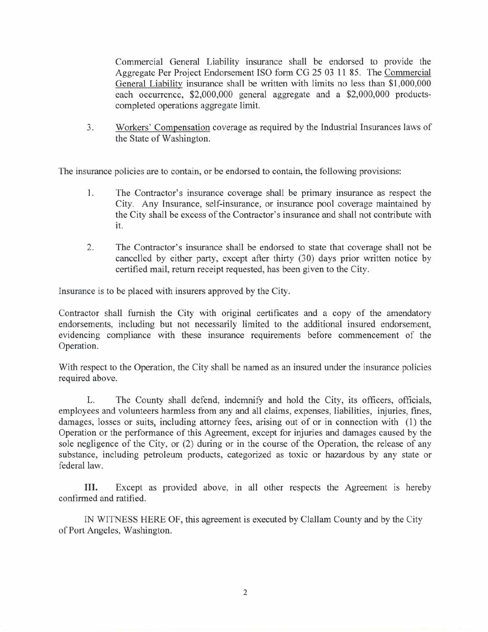Commercial General Liability insurance shall be endorsed to provide the Aggregate Per Project Endorsement IS0 form CG 25 03 11 85. The Commercial General Liability insurance shall be written with limits no less than \$1,000,000 each occurrence, \$2,000,000 general aggregate and a \$2,000,000 productscompleted operations aggregate limit.

Workers' Compensation coverage as required by the Industrial Insurances laws of 3. the State of Washington.

The insurance policies are to contain, or be endorsed to contain, the following provisions:

- 1. The Contractor's insurance coverage shall be primary insurance as respect the City. Any Insurance, self-insurance, or insurance pool coverage maintained by the City shall be excess of the Contractor's insurance and shall not contribute with it.
- $\overline{2}$ . The Contractor's insurance shall be endorsed to state that coverage shall not be cancelled by either party, except after thirty (30) days prior written notice by certified mail, return receipt requested, has been given to the City.

Insurance is to be placed with insurers approved by the City.

Contractor shall furnish the City with original certificates and a copy of the amendatory endorsements, including but not necessarily limited to the additional insured endorsement, evidencing compliance with these insurance requirements before commencement of the Operation.

With respect to the Operation, the City shall be named as an insured under the insurance policies required above.

L. The County shall defend, indemnify and hold the City, its officers, officials, employees and volunteers harmless from any and all claims, expenses, liabilities, injuries, fines, damages, losses or suits, including attorney fees, arising out of or in connection with (1) the Operation or the performance of this Agreement, except for injuries and damages caused by the sole negligence of the City, or (2) during or in the course of the Operation, the release of any substance, including petroleum products, categorized as toxic or hazardous by any state or federal law.

**111.** Except as provided above, in all other respects the Agreement is hereby confirmed and ratified.

IN WITNESS HERE OF, this agreement is executed by Clallam County and by the City of Port Angeles, Washington.